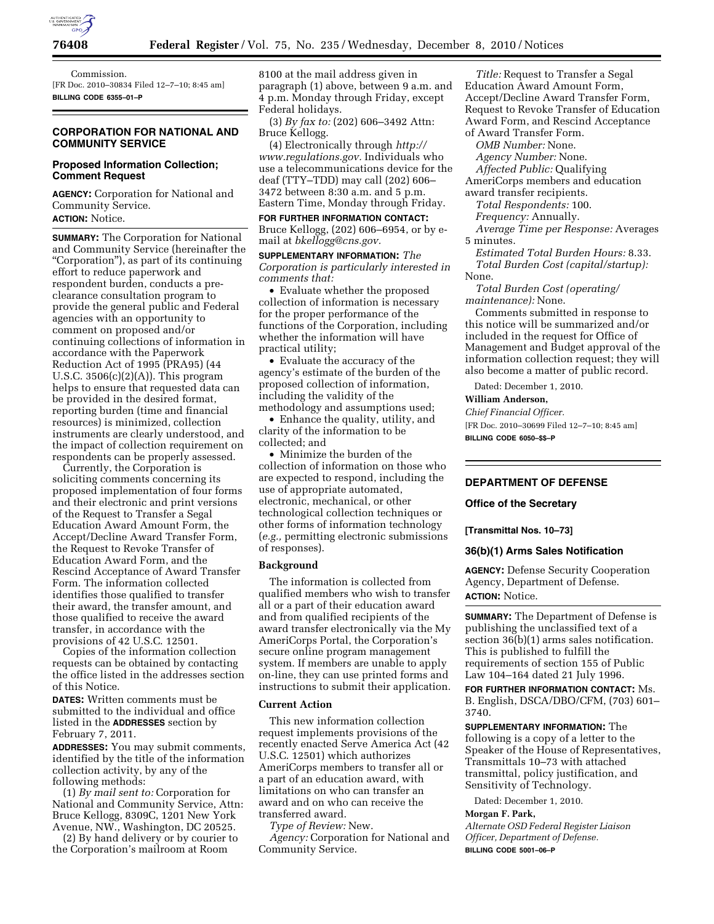

Commission. [FR Doc. 2010–30834 Filed 12–7–10; 8:45 am] **BILLING CODE 6355–01–P** 

### **CORPORATION FOR NATIONAL AND COMMUNITY SERVICE**

### **Proposed Information Collection; Comment Request**

**AGENCY:** Corporation for National and Community Service. **ACTION:** Notice.

**SUMMARY:** The Corporation for National and Community Service (hereinafter the ''Corporation''), as part of its continuing effort to reduce paperwork and respondent burden, conducts a preclearance consultation program to provide the general public and Federal agencies with an opportunity to comment on proposed and/or continuing collections of information in accordance with the Paperwork Reduction Act of 1995 (PRA95) (44 U.S.C.  $3506(c)(2)(A)$ ). This program helps to ensure that requested data can be provided in the desired format, reporting burden (time and financial resources) is minimized, collection instruments are clearly understood, and the impact of collection requirement on respondents can be properly assessed.

Currently, the Corporation is soliciting comments concerning its proposed implementation of four forms and their electronic and print versions of the Request to Transfer a Segal Education Award Amount Form, the Accept/Decline Award Transfer Form, the Request to Revoke Transfer of Education Award Form, and the Rescind Acceptance of Award Transfer Form. The information collected identifies those qualified to transfer their award, the transfer amount, and those qualified to receive the award transfer, in accordance with the provisions of 42 U.S.C. 12501.

Copies of the information collection requests can be obtained by contacting the office listed in the addresses section of this Notice.

**DATES:** Written comments must be submitted to the individual and office listed in the **ADDRESSES** section by February 7, 2011.

**ADDRESSES:** You may submit comments, identified by the title of the information collection activity, by any of the following methods:

(1) *By mail sent to:* Corporation for National and Community Service, Attn: Bruce Kellogg, 8309C, 1201 New York Avenue, NW., Washington, DC 20525.

(2) By hand delivery or by courier to the Corporation's mailroom at Room

8100 at the mail address given in paragraph (1) above, between 9 a.m. and 4 p.m. Monday through Friday, except Federal holidays.

(3) *By fax to:* (202) 606–3492 Attn: Bruce Kellogg.

(4) Electronically through *[http://](http://www.regulations.gov)  [www.regulations.gov.](http://www.regulations.gov)* Individuals who use a telecommunications device for the deaf (TTY–TDD) may call (202) 606– 3472 between 8:30 a.m. and 5 p.m. Eastern Time, Monday through Friday.

**FOR FURTHER INFORMATION CONTACT:**  Bruce Kellogg, (202) 606–6954, or by email at *[bkellogg@cns.gov.](mailto:bkellogg@cns.gov)* 

**SUPPLEMENTARY INFORMATION:** *The Corporation is particularly interested in comments that:* 

• Evaluate whether the proposed collection of information is necessary for the proper performance of the functions of the Corporation, including whether the information will have practical utility;

• Evaluate the accuracy of the agency's estimate of the burden of the proposed collection of information, including the validity of the methodology and assumptions used;

• Enhance the quality, utility, and clarity of the information to be collected; and

• Minimize the burden of the collection of information on those who are expected to respond, including the use of appropriate automated, electronic, mechanical, or other technological collection techniques or other forms of information technology (*e.g.,* permitting electronic submissions of responses).

### **Background**

The information is collected from qualified members who wish to transfer all or a part of their education award and from qualified recipients of the award transfer electronically via the My AmeriCorps Portal, the Corporation's secure online program management system. If members are unable to apply on-line, they can use printed forms and instructions to submit their application.

#### **Current Action**

This new information collection request implements provisions of the recently enacted Serve America Act (42 U.S.C. 12501) which authorizes AmeriCorps members to transfer all or a part of an education award, with limitations on who can transfer an award and on who can receive the transferred award.

*Type of Review:* New.

*Agency:* Corporation for National and Community Service.

*Title:* Request to Transfer a Segal Education Award Amount Form, Accept/Decline Award Transfer Form, Request to Revoke Transfer of Education Award Form, and Rescind Acceptance of Award Transfer Form.

*OMB Number:* None.

*Agency Number:* None.

*Affected Public:* Qualifying

AmeriCorps members and education award transfer recipients.

*Total Respondents:* 100.

*Frequency:* Annually.

*Average Time per Response:* Averages 5 minutes.

*Estimated Total Burden Hours:* 8.33. *Total Burden Cost (capital/startup):*  None.

*Total Burden Cost (operating/ maintenance):* None.

Comments submitted in response to this notice will be summarized and/or included in the request for Office of Management and Budget approval of the information collection request; they will also become a matter of public record.

Dated: December 1, 2010.

#### **William Anderson,**

*Chief Financial Officer.* 

[FR Doc. 2010–30699 Filed 12–7–10; 8:45 am] **BILLING CODE 6050–\$\$–P** 

## **DEPARTMENT OF DEFENSE**

#### **Office of the Secretary**

#### **[Transmittal Nos. 10–73]**

## **36(b)(1) Arms Sales Notification**

**AGENCY:** Defense Security Cooperation Agency, Department of Defense. **ACTION:** Notice.

**SUMMARY:** The Department of Defense is publishing the unclassified text of a section 36(b)(1) arms sales notification. This is published to fulfill the requirements of section 155 of Public Law 104–164 dated 21 July 1996.

**FOR FURTHER INFORMATION CONTACT:** Ms. B. English, DSCA/DBO/CFM, (703) 601– 3740.

**SUPPLEMENTARY INFORMATION:** The following is a copy of a letter to the Speaker of the House of Representatives, Transmittals 10–73 with attached transmittal, policy justification, and Sensitivity of Technology.

Dated: December 1, 2010.

### **Morgan F. Park,**

*Alternate OSD Federal Register Liaison Officer, Department of Defense.*  **BILLING CODE 5001–06–P**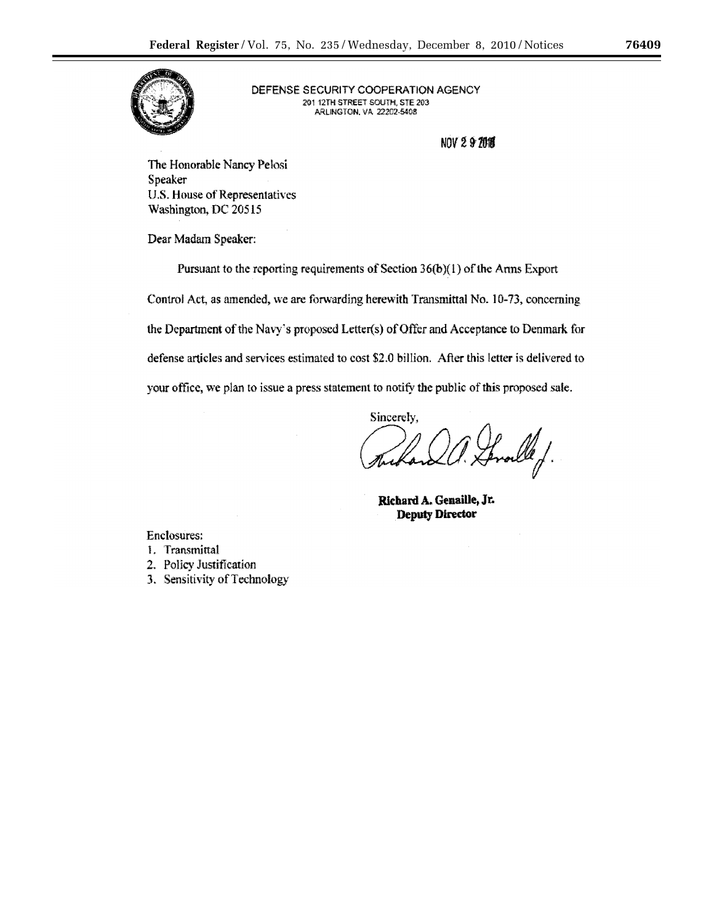

DEFENSE SECURITY COOPERATION AGENCY 201 12TH STREET SOUTH, STE 203 ARLINGTON, VA 22202-5408

**NOV 297011** 

The Honorable Nancy Pelosi Speaker U.S. House of Representatives Washington, DC 20515

Dear Madam Speaker:

Pursuant to the reporting requirements of Section 36(b)(1) of the Arms Export

Control Act, as amended, we are forwarding herewith Transmittal No. 10-73, concerning the Department of the Navy's proposed Letter(s) of Offer and Acceptance to Denmark for defense articles and services estimated to cost \$2.0 billion. After this letter is delivered to your office, we plan to issue a press statement to notify the public of this proposed sale.

> Sincerely, froeld f.

Richard A. Genaille, Jr. **Deputy Director** 

**Enclosures:** 1. Transmittal

- 2. Policy Justification
- 3. Sensitivity of Technology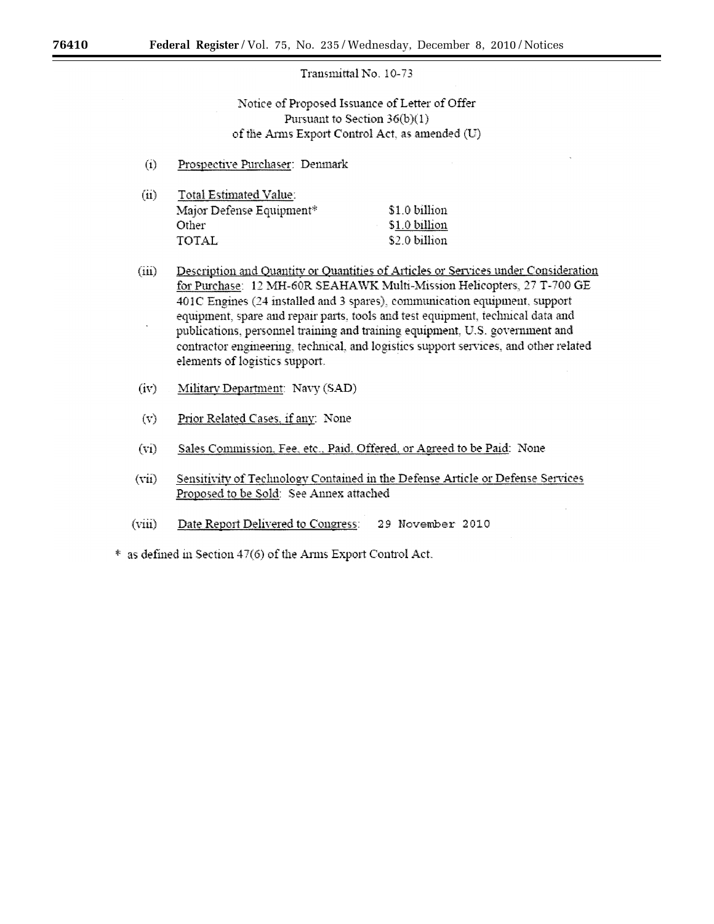## Transmittal No. 10-73

Notice of Proposed Issuance of Letter of Offer Pursuant to Section  $36(b)(1)$ of the Arms Export Control Act, as amended (U)

- Prospective Purchaser: Denmark  $(i)$
- $(ii)$ Total Estimated Value: Major Defense Equipment\* \$1.0 billion Other \$1.0 billion **TOTAL** \$2.0 billion
- $(iii)$ Description and Quantity or Quantities of Articles or Services under Consideration for Purchase: 12 MH-60R SEAHAWK Multi-Mission Helicopters, 27 T-700 GE 401C Engines (24 installed and 3 spares), communication equipment, support equipment, spare and repair parts, tools and test equipment, technical data and publications, personnel training and training equipment, U.S. government and contractor engineering, technical, and logistics support services, and other related elements of logistics support.
- $(iv)$ Military Department: Navy (SAD)
- $(v)$ Prior Related Cases. if any: None
- $(vi)$ Sales Commission, Fee, etc., Paid, Offered, or Agreed to be Paid: None
- $(vii)$ Sensitivity of Technology Contained in the Defense Article or Defense Services Proposed to be Sold: See Annex attached
- $(viii)$ Date Report Delivered to Congress: 29 November 2010
- \* as defined in Section 47(6) of the Arms Export Control Act.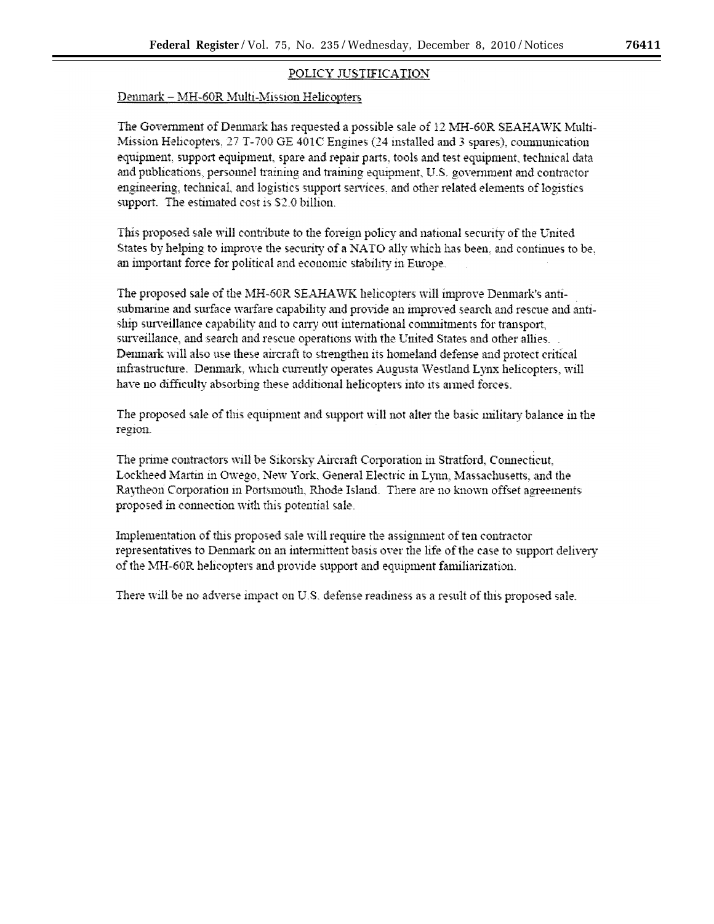# POLICY JUSTIFICATION

# Denmark - MH-60R Multi-Mission Helicopters

The Government of Denmark has requested a possible sale of 12 MH-60R SEAHAWK Multi-Mission Helicopters, 27 T-700 GE 401C Engines (24 installed and 3 spares), communication equipment, support equipment, spare and repair parts, tools and test equipment, technical data and publications, personnel training and training equipment, U.S. government and contractor engineering, technical, and logistics support services, and other related elements of logistics support. The estimated cost is \$2.0 billion.

This proposed sale will contribute to the foreign policy and national security of the United States by helping to improve the security of a NATO ally which has been, and continues to be, an important force for political and economic stability in Europe.

The proposed sale of the MH-60R SEAHAWK helicopters will improve Denmark's antisubmarine and surface warfare capability and provide an improved search and rescue and antiship surveillance capability and to carry out international commitments for transport, surveillance, and search and rescue operations with the United States and other allies. Denmark will also use these aircraft to strengthen its homeland defense and protect critical infrastructure. Denmark, which currently operates Augusta Westland Lynx helicopters, will have no difficulty absorbing these additional helicopters into its armed forces.

The proposed sale of this equipment and support will not alter the basic military balance in the region.

The prime contractors will be Sikorsky Aircraft Corporation in Stratford, Connecticut, Lockheed Martin in Owego, New York, General Electric in Lynn, Massachusetts, and the Raytheon Corporation in Portsmouth, Rhode Island. There are no known offset agreements proposed in connection with this potential sale.

Implementation of this proposed sale will require the assignment of ten contractor representatives to Denmark on an intermittent basis over the life of the case to support delivery of the MH-60R helicopters and provide support and equipment familiarization.

There will be no adverse impact on U.S. defense readiness as a result of this proposed sale.